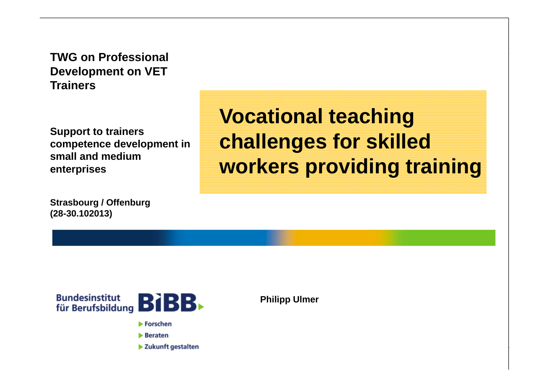**TWG on Professional Development on VET Trainers**

**Support to trainers competence development in small and medium enterprises**

**Strasbourg / Offenburg (28-30.102013)**

**Vocational teaching challenges for skilled workers providing training**

Bundesinstitut<br>für Berufsbildung **BIBB**  $\blacktriangleright$  Forschen Beraten

> Zukunft gestalten

**Philipp Ulmer**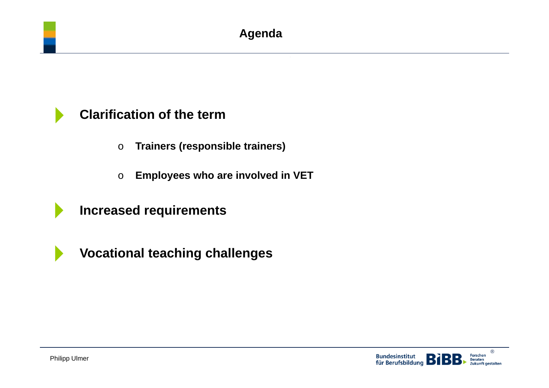## **Clarification of the term**

- o**Trainers (responsible trainers)**
- o**Employees who are involved in VET**

**Increased requirements**





 $\blacktriangleright$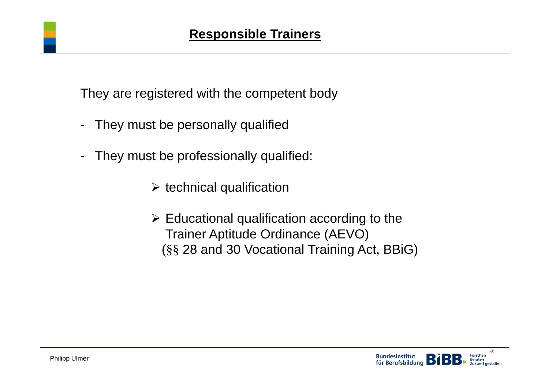They are registered with the competent body

- -They must be personally qualified
- - They must be professionally qualified:
	- $\triangleright$  technical qualification
	- $\triangleright$  Educational qualification according to the Trainer Aptitude Ordinance (AEVO) (§§ 28 and 30 Vocational Training Act, BBiG)

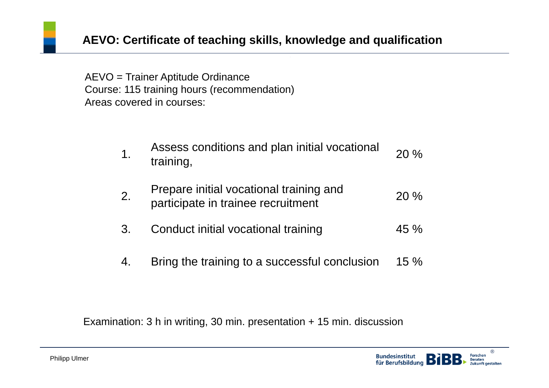AEVO = Trainer Aptitude Ordinance Course: 115 training hours (recommendation) Areas covered in courses:

| Assess conditions and plan initial vocational | 20 % |
|-----------------------------------------------|------|
| training,                                     |      |
|                                               |      |

| Ζ. | Prepare initial vocational training and | 20% |
|----|-----------------------------------------|-----|
|    | participate in trainee recruitment      |     |

- 3. Conduct initial vocational training 45 %
- 4. Bring the training to a successful conclusion 15 %

Examination: 3 h in writing, 30 min. presentation + 15 min. discussion

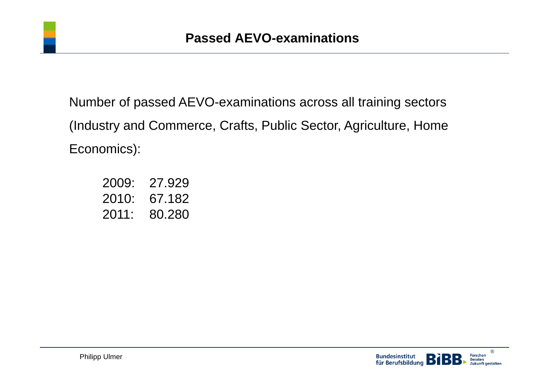Number of passed AEVO-examinations across all training sectors (Industry and Commerce, Crafts, Public Sector, Agriculture, Home Economics):

2009: 27.9292010: 67.182 2011: 80.280

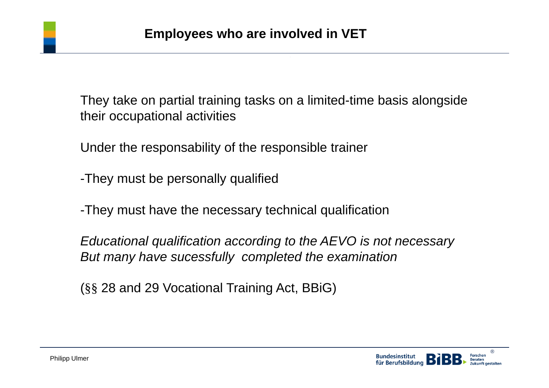They take on partial training tasks on a limited-time basis alongside their occupational activities

Under the responsability of the responsible trainer

-They must be personally qualified

-They must have the necessary technical qualification

*Educational qualification according to the AEVO is not necessary But many have sucessfully completed the examination*

(§§ 28 and 29 Vocational Training Act, BBiG)

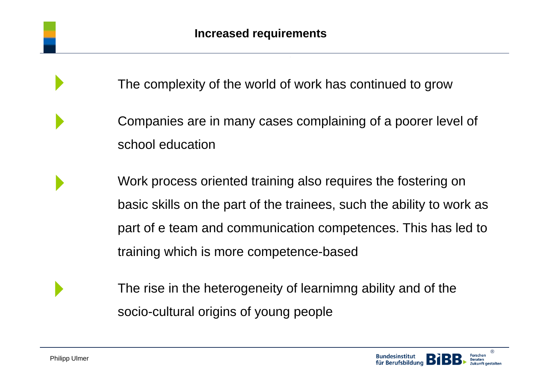- The complexity of the world of work has continued to grow
	- Companies are in many cases complaining of a poorer level of school education
- Work process oriented training also requires the fostering on basic skills on the part of the trainees, such the ability to work as part of e team and communication competences. This has led to training which is more competence-based
- The rise in the heterogeneity of learnimng ability and of the socio-cultural origins of young people



 $\blacktriangleright$ 

 $\blacktriangleright$ 

 $\blacktriangleright$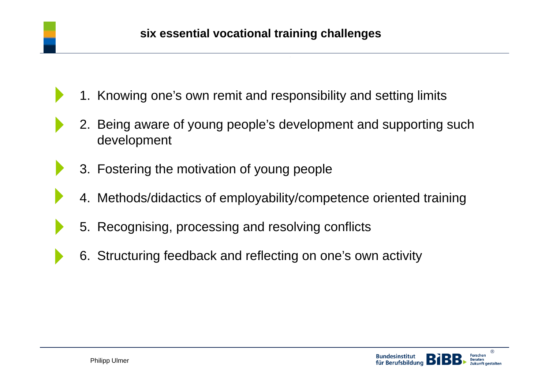- 1. Knowing one's own remit and responsibility and setting limits
- 2. Being aware of young people's development and supporting such development
- 3. Fostering the motivation of young people
- 4. Methods/didactics of employability/competence oriented training
- 5. Recognising, processing and resolving conflicts
- 6. Structuring feedback and reflecting on one's own activity



 $\blacktriangleright$ 

 $\blacktriangleright$ 

 $\blacktriangleright$ 

 $\blacktriangleright$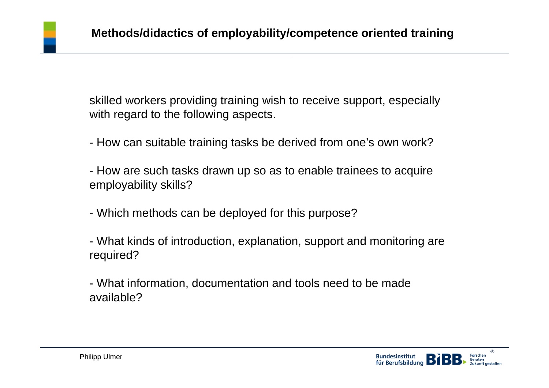skilled workers providing training wish to receive support, especially with regard to the following aspects.

- How can suitable training tasks be derived from one's own work?
- How are such tasks drawn up so as to enable trainees to acquire employability skills?
- Which methods can be deployed for this purpose?
- What kinds of introduction, explanation, support and monitoring are required?
- What information, documentation and tools need to be made available?